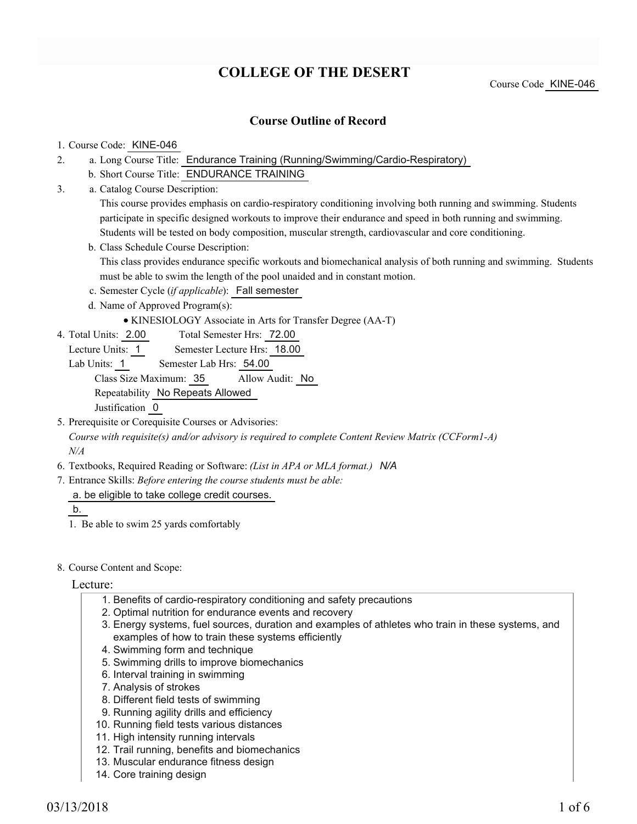# **COLLEGE OF THE DESERT**

### **Course Outline of Record**

#### 1. Course Code: KINE-046

- a. Long Course Title: Endurance Training (Running/Swimming/Cardio-Respiratory) 2.
	- b. Short Course Title: ENDURANCE TRAINING
- Catalog Course Description: a. 3.

This course provides emphasis on cardio-respiratory conditioning involving both running and swimming. Students participate in specific designed workouts to improve their endurance and speed in both running and swimming. Students will be tested on body composition, muscular strength, cardiovascular and core conditioning.

b. Class Schedule Course Description:

This class provides endurance specific workouts and biomechanical analysis of both running and swimming. Students must be able to swim the length of the pool unaided and in constant motion.

- c. Semester Cycle (*if applicable*): Fall semester
- d. Name of Approved Program(s):
	- KINESIOLOGY Associate in Arts for Transfer Degree (AA-T)
- Total Semester Hrs: 72.00 4. Total Units: 2.00
	- Lecture Units: 1 Semester Lecture Hrs: 18.00
	- Lab Units: 1 Semester Lab Hrs: 54.00

Class Size Maximum: 35 Allow Audit: No

Repeatability No Repeats Allowed

Justification 0

- 5. Prerequisite or Corequisite Courses or Advisories: *Course with requisite(s) and/or advisory is required to complete Content Review Matrix (CCForm1-A) N/A*
- 6. Textbooks, Required Reading or Software: *(List in APA or MLA format.) N/A*
- Entrance Skills: *Before entering the course students must be able:* 7.
	- a. be eligible to take college credit courses.

b.

- 1. Be able to swim 25 yards comfortably
- 8. Course Content and Scope:

Lecture:

- 1. Benefits of cardio-respiratory conditioning and safety precautions
- 2. Optimal nutrition for endurance events and recovery
- Energy systems, fuel sources, duration and examples of athletes who train in these systems, and 3. examples of how to train these systems efficiently
- 4. Swimming form and technique
- 5. Swimming drills to improve biomechanics
- 6. Interval training in swimming
- 7. Analysis of strokes
- 8. Different field tests of swimming
- 9. Running agility drills and efficiency
- 10. Running field tests various distances
- 11. High intensity running intervals
- 12. Trail running, benefits and biomechanics
- 13. Muscular endurance fitness design
- 14. Core training design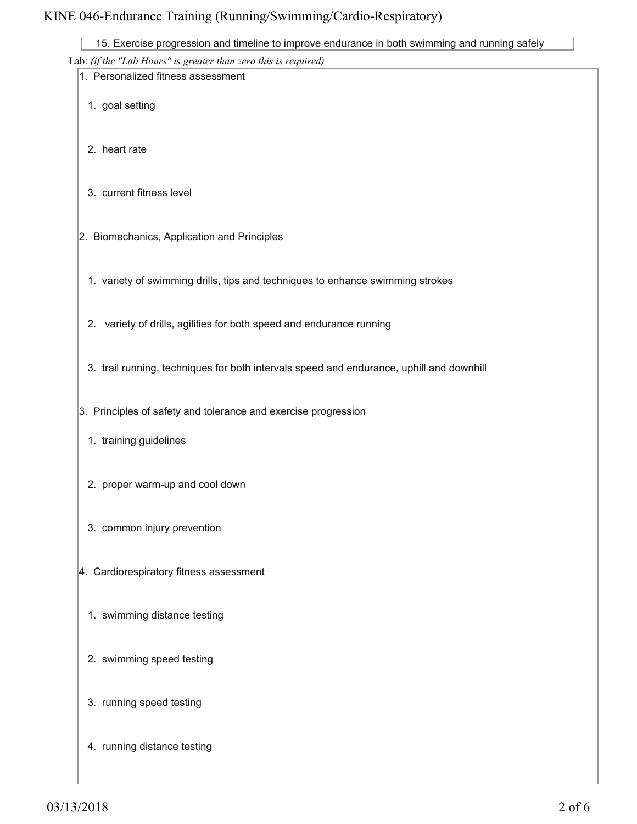|  |  | 15. Exercise progression and timeline to improve endurance in both swimming and running safely |  |
|--|--|------------------------------------------------------------------------------------------------|--|
|--|--|------------------------------------------------------------------------------------------------|--|

|                                             | 15. Exercise progression and timeline to improve endurance in both swimming and running safely |
|---------------------------------------------|------------------------------------------------------------------------------------------------|
|                                             | Lab: (if the "Lab Hours" is greater than zero this is required)                                |
| 1. Personalized fitness assessment          |                                                                                                |
| 1. goal setting                             |                                                                                                |
| 2. heart rate                               |                                                                                                |
| 3. current fitness level                    |                                                                                                |
| 2. Biomechanics, Application and Principles |                                                                                                |
|                                             | 1. variety of swimming drills, tips and techniques to enhance swimming strokes                 |
|                                             | 2. variety of drills, agilities for both speed and endurance running                           |
|                                             | 3. trail running, techniques for both intervals speed and endurance, uphill and downhill       |
|                                             | 3. Principles of safety and tolerance and exercise progression                                 |
| 1. training guidelines                      |                                                                                                |
| 2. proper warm-up and cool down             |                                                                                                |
| 3. common injury prevention                 |                                                                                                |
| 4. Cardiorespiratory fitness assessment     |                                                                                                |
| 1. swimming distance testing                |                                                                                                |
| 2. swimming speed testing                   |                                                                                                |
| 3. running speed testing                    |                                                                                                |
| 4. running distance testing                 |                                                                                                |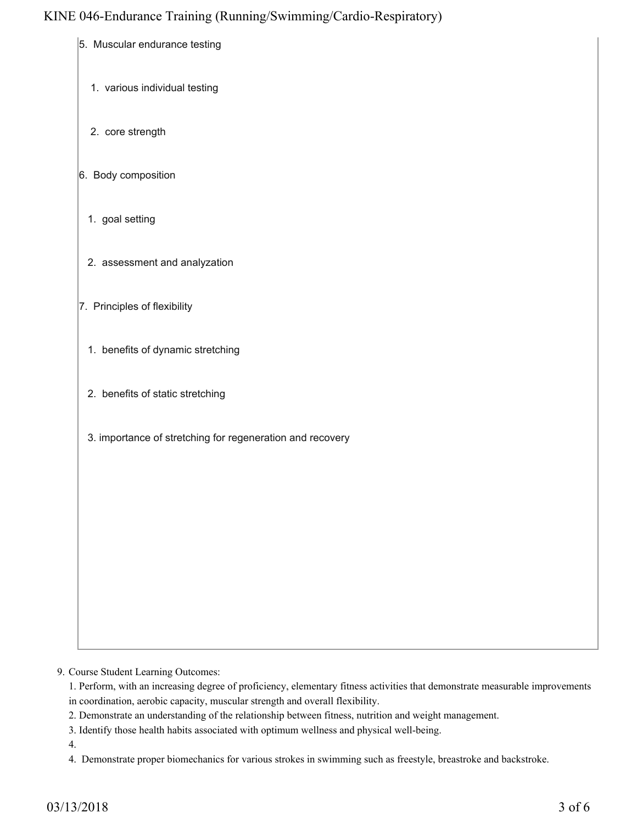- 5. Muscular endurance testing
	- 1. various individual testing
	- 2. core strength
- 6. Body composition
	- 1. goal setting
	- 2. assessment and analyzation
- 7. Principles of flexibility
	- 1. benefits of dynamic stretching
	- 2. benefits of static stretching
	- 3. importance of stretching for regeneration and recovery

9. Course Student Learning Outcomes:

1. Perform, with an increasing degree of proficiency, elementary fitness activities that demonstrate measurable improvements in coordination, aerobic capacity, muscular strength and overall flexibility.

- 2. Demonstrate an understanding of the relationship between fitness, nutrition and weight management.
- 3. Identify those health habits associated with optimum wellness and physical well-being.
- 4.

4. Demonstrate proper biomechanics for various strokes in swimming such as freestyle, breastroke and backstroke.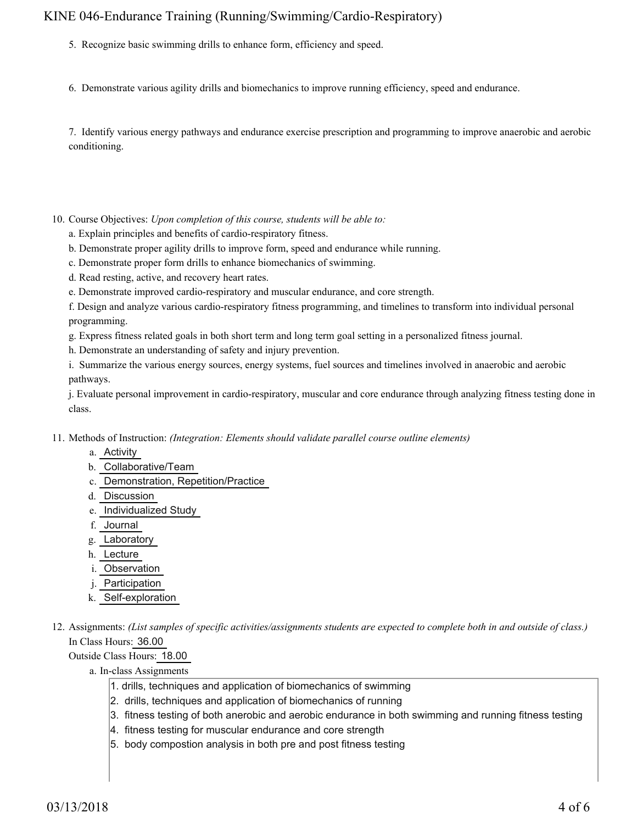- 5. Recognize basic swimming drills to enhance form, efficiency and speed.
- 6. Demonstrate various agility drills and biomechanics to improve running efficiency, speed and endurance.

7. Identify various energy pathways and endurance exercise prescription and programming to improve anaerobic and aerobic conditioning.

- 10. Course Objectives: Upon completion of this course, students will be able to:
	- a. Explain principles and benefits of cardio-respiratory fitness.
	- b. Demonstrate proper agility drills to improve form, speed and endurance while running.
	- c. Demonstrate proper form drills to enhance biomechanics of swimming.
	- d. Read resting, active, and recovery heart rates.
	- e. Demonstrate improved cardio-respiratory and muscular endurance, and core strength.

f. Design and analyze various cardio-respiratory fitness programming, and timelines to transform into individual personal programming.

g. Express fitness related goals in both short term and long term goal setting in a personalized fitness journal.

h. Demonstrate an understanding of safety and injury prevention.

i. Summarize the various energy sources, energy systems, fuel sources and timelines involved in anaerobic and aerobic pathways.

j. Evaluate personal improvement in cardio-respiratory, muscular and core endurance through analyzing fitness testing done in class.

- 11. Methods of Instruction: *(Integration: Elements should validate parallel course outline elements)* 
	- a. Activity
	- b. Collaborative/Team
	- c. Demonstration, Repetition/Practice
	- d. Discussion
	- e. Individualized Study
	- f. Journal
	- g. Laboratory
	- h. Lecture
	- i. Observation
	- j. Participation
	- k. Self-exploration
- 12. Assignments: (List samples of specific activities/assignments students are expected to complete both in and outside of class.) In Class Hours: 36.00

Outside Class Hours: 18.00

- a. In-class Assignments
	- 1. drills, techniques and application of biomechanics of swimming
	- 2. drills, techniques and application of biomechanics of running
	- 3. fitness testing of both anerobic and aerobic endurance in both swimming and running fitness testing
	- 4. fitness testing for muscular endurance and core strength
	- 5. body compostion analysis in both pre and post fitness testing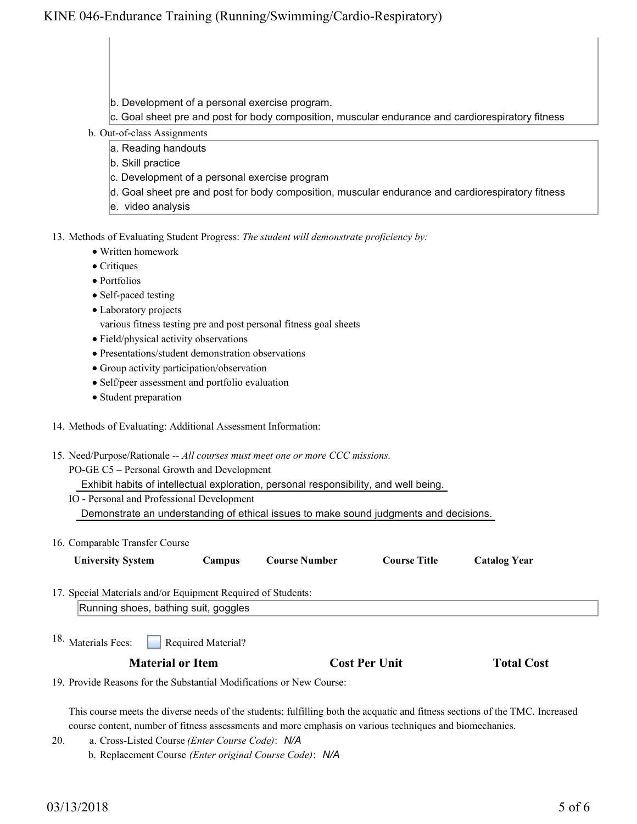- b. Development of a personal exercise program.
- c. Goal sheet pre and post for body composition, muscular endurance and cardiorespiratory fitness
- b. Out-of-class Assignments
	- a. Reading handouts
	- b. Skill practice
	- c. Development of a personal exercise program
	- d. Goal sheet pre and post for body composition, muscular endurance and cardiorespiratory fitness
	- e. video analysis

13. Methods of Evaluating Student Progress: The student will demonstrate proficiency by:

- Written homework
- Critiques
- Portfolios
- Self-paced testing
- Laboratory projects
	- various fitness testing pre and post personal fitness goal sheets
- Field/physical activity observations
- Presentations/student demonstration observations
- Group activity participation/observation
- Self/peer assessment and portfolio evaluation
- Student preparation
- 14. Methods of Evaluating: Additional Assessment Information:
- 15. Need/Purpose/Rationale -- All courses must meet one or more CCC missions.
	- PO-GE C5 Personal Growth and Development

Exhibit habits of intellectual exploration, personal responsibility, and well being.

- IO Personal and Professional Development Demonstrate an understanding of ethical issues to make sound judgments and decisions.
- 16. Comparable Transfer Course

| <b>University System</b>                                             | <b>Campus</b>                                 | <b>Course Number</b> | <b>Course Title</b>  | <b>Catalog Year</b> |  |
|----------------------------------------------------------------------|-----------------------------------------------|----------------------|----------------------|---------------------|--|
| 17. Special Materials and/or Equipment Required of Students:         |                                               |                      |                      |                     |  |
|                                                                      | Running shoes, bathing suit, goggles          |                      |                      |                     |  |
| 18. Materials Fees:                                                  | Required Material?<br><b>Material or Item</b> |                      | <b>Cost Per Unit</b> | <b>Total Cost</b>   |  |
| 19. Provide Reasons for the Substantial Modifications or New Course: |                                               |                      |                      |                     |  |

This course meets the diverse needs of the students; fulfilling both the acquatic and fitness sections of the TMC. Increased course content, number of fitness assessments and more emphasis on various techniques and biomechanics.

- a. Cross-Listed Course *(Enter Course Code)*: *N/A* 20.
	- b. Replacement Course *(Enter original Course Code)*: *N/A*